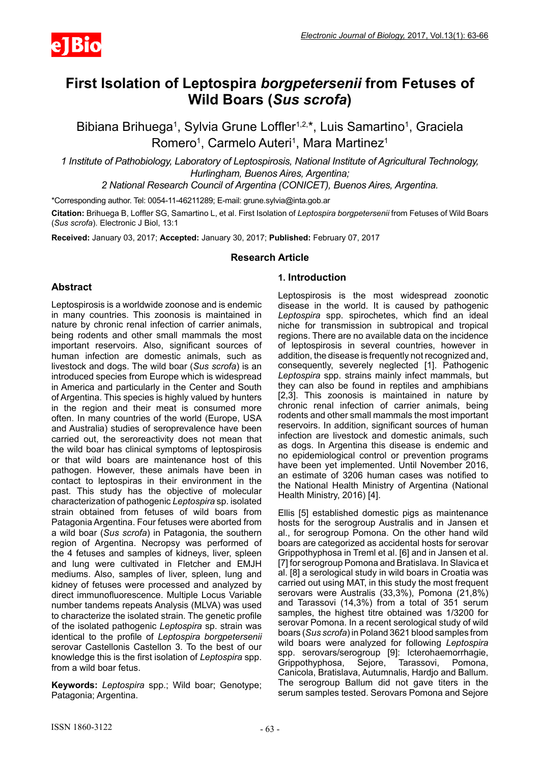

# **First Isolation of Leptospira** *borgpetersenii* **from Fetuses of Wild Boars (***Sus scrofa***)**

Bibiana Brihuega<sup>1</sup>, Sylvia Grune Loffler<sup>1,2,\*</sup>, Luis Samartino<sup>1</sup>, Graciela Romero<sup>1</sup>, Carmelo Auteri<sup>1</sup>, Mara Martinez<sup>1</sup>

*1 Institute of Pathobiology, Laboratory of Leptospirosis, National Institute of Agricultural Technology, Hurlingham, Buenos Aires, Argentina;*

*2 National Research Council of Argentina (CONICET), Buenos Aires, Argentina.*

\*Corresponding author. Tel: 0054-11-46211289; E-mail: grune.sylvia@inta.gob.ar

**Citation:** Brihuega B, Loffler SG, Samartino L, et al. First Isolation of *Leptospira borgpetersenii* from Fetuses of Wild Boars (*Sus scrofa*). Electronic J Biol, 13:1

**Received:** January 03, 2017; **Accepted:** January 30, 2017; **Published:** February 07, 2017

# **Research Article**

# **Abstract**

Leptospirosis is a worldwide zoonose and is endemic in many countries. This zoonosis is maintained in nature by chronic renal infection of carrier animals, being rodents and other small mammals the most important reservoirs. Also, significant sources of human infection are domestic animals, such as livestock and dogs. The wild boar (*Sus scrofa*) is an introduced species from Europe which is widespread in America and particularly in the Center and South of Argentina. This species is highly valued by hunters in the region and their meat is consumed more often. In many countries of the world (Europe, USA and Australia) studies of seroprevalence have been carried out, the seroreactivity does not mean that the wild boar has clinical symptoms of leptospirosis or that wild boars are maintenance host of this pathogen. However, these animals have been in contact to leptospiras in their environment in the past. This study has the objective of molecular characterization of pathogenic *Leptospira* sp. isolated strain obtained from fetuses of wild boars from Patagonia Argentina. Four fetuses were aborted from a wild boar (*Sus scrofa*) in Patagonia, the southern region of Argentina. Necropsy was performed of the 4 fetuses and samples of kidneys, liver, spleen and lung were cultivated in Fletcher and EMJH mediums. Also, samples of liver, spleen, lung and kidney of fetuses were processed and analyzed by direct immunofluorescence. Multiple Locus Variable number tandems repeats Analysis (MLVA) was used to characterize the isolated strain. The genetic profile of the isolated pathogenic *Leptospira* sp. strain was identical to the profile of *Leptospira borgpetersenii*  serovar Castellonis Castellon 3. To the best of our knowledge this is the first isolation of *Leptospira* spp. from a wild boar fetus.

**Keywords:** *Leptospira* spp.; Wild boar; Genotype; Patagonia; Argentina.

# **1. Introduction**

Leptospirosis is the most widespread zoonotic disease in the world. It is caused by pathogenic *Leptospira* spp. spirochetes, which find an ideal niche for transmission in subtropical and tropical regions. There are no available data on the incidence of leptospirosis in several countries, however in addition, the disease is frequently not recognized and, consequently, severely neglected [1]. Pathogenic *Leptospira* spp. strains mainly infect mammals, but they can also be found in reptiles and amphibians [2,3]. This zoonosis is maintained in nature by chronic renal infection of carrier animals, being rodents and other small mammals the most important reservoirs. In addition, significant sources of human infection are livestock and domestic animals, such as dogs. In Argentina this disease is endemic and no epidemiological control or prevention programs have been yet implemented. Until November 2016, an estimate of 3206 human cases was notified to the National Health Ministry of Argentina (National Health Ministry, 2016) [4].

Ellis [5] established domestic pigs as maintenance hosts for the serogroup Australis and in Jansen et al., for serogroup Pomona. On the other hand wild boars are categorized as accidental hosts for serovar Grippothyphosa in Treml et al. [6] and in Jansen et al. [7] for serogroup Pomona and Bratislava. In Slavica et al. [8] a serological study in wild boars in Croatia was carried out using MAT, in this study the most frequent serovars were Australis (33,3%), Pomona (21,8%) and Tarassovi (14,3%) from a total of 351 serum samples, the highest titre obtained was 1/3200 for serovar Pomona. In a recent serological study of wild boars (*Sus scrofa*) in Poland 3621 blood samples from wild boars were analyzed for following *Leptospira* spp. serovars/serogroup [9]: Icterohaemorrhagie,<br>Grippothyphosa, Sejore, Tarassovi, Pomona, Grippothyphosa, Sejore, Tarassovi, Pomona, Canicola, Bratislava, Autumnalis, Hardjo and Ballum. The serogroup Ballum did not gave titers in the serum samples tested. Serovars Pomona and Sejore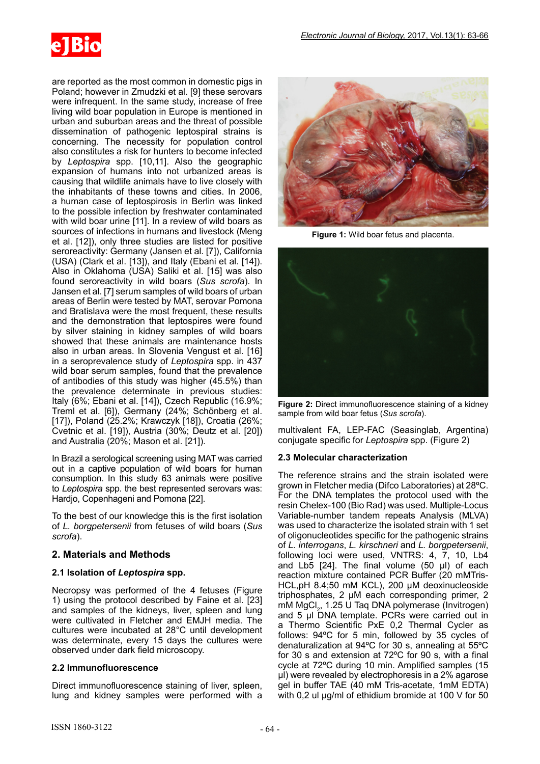

are reported as the most common in domestic pigs in Poland; however in Zmudzki et al. [9] these serovars were infrequent. In the same study, increase of free living wild boar population in Europe is mentioned in urban and suburban areas and the threat of possible dissemination of pathogenic leptospiral strains is concerning. The necessity for population control also constitutes a risk for hunters to become infected by *Leptospira* spp. [10,11]. Also the geographic expansion of humans into not urbanized areas is causing that wildlife animals have to live closely with the inhabitants of these towns and cities. In 2006, a human case of leptospirosis in Berlin was linked to the possible infection by freshwater contaminated with wild boar urine [11]. In a review of wild boars as sources of infections in humans and livestock (Meng et al. [12]), only three studies are listed for positive seroreactivity: Germany (Jansen et al. [7]), California (USA) (Clark et al. [13]), and Italy (Ebani et al. [14]). Also in Oklahoma (USA) Saliki et al. [15] was also found seroreactivity in wild boars (*Sus scrofa*). In Jansen et al. [7] serum samples of wild boars of urban areas of Berlin were tested by MAT, serovar Pomona and Bratislava were the most frequent, these results and the demonstration that leptospires were found

wild boar serum samples, found that the prevalence of antibodies of this study was higher (45.5%) than the prevalence determinate in previous studies: Italy (6%; Ebani et al. [14]), Czech Republic (16.9%; Treml et al. [6]), Germany (24%; Schönberg et al. [17]), Poland (25.2%; Krawczyk [18]), Croatia (26%; Cvetnic et al. [19]), Austria (30%; Deutz et al. [20]) and Australia (20%; Mason et al. [21]). In Brazil a serological screening using MAT was carried

by silver staining in kidney samples of wild boars showed that these animals are maintenance hosts also in urban areas. In Slovenia Vengust et al. [16] in a seroprevalence study of *Leptospira* spp. in 437

out in a captive population of wild boars for human consumption. In this study 63 animals were positive to *Leptospira* spp. the best represented serovars was: Hardjo, Copenhageni and Pomona [22].

To the best of our knowledge this is the first isolation of *L. borgpetersenii* from fetuses of wild boars (*Sus scrofa*).

# **2. Materials and Methods**

# **2.1 Isolation of** *Leptospira* **spp.**

Necropsy was performed of the 4 fetuses (Figure 1) using the protocol described by Faine et al. [23] and samples of the kidneys, liver, spleen and lung were cultivated in Fletcher and EMJH media. The cultures were incubated at 28°C until development was determinate, every 15 days the cultures were observed under dark field microscopy.

#### **2.2 Immunofluorescence**

Direct immunofluorescence staining of liver, spleen, lung and kidney samples were performed with a



**Figure 1:** Wild boar fetus and placenta.



**Figure 2:** Direct immunofluorescence staining of a kidney sample from wild boar fetus (*Sus scrofa*).

multivalent FA, LEP-FAC (Seasinglab, Argentina) conjugate specific for *Leptospira* spp. (Figure 2)

# **2.3 Molecular characterization**

The reference strains and the strain isolated were grown in Fletcher media (Difco Laboratories) at 28ºC. For the DNA templates the protocol used with the resin Chelex-100 (Bio Rad) was used. Multiple-Locus Variable-number tandem repeats Analysis (MLVA) was used to characterize the isolated strain with 1 set of oligonucleotides specific for the pathogenic strains of *L. interrogans*, *L. kirschneri* and *L. borgpetersenii*, following loci were used, VNTRS: 4, 7, 10, Lb4 and Lb5  $[24]$ . The final volume  $(50 \text{ µ})$  of each reaction mixture contained PCR Buffer (20 mMTris-HCL,pH 8.4;50 mM KCL), 200 µM deoxinucleoside triphosphates, 2 µM each corresponding primer, 2 mM MgCl<sub>2</sub>, 1.25 U Taq DNA polymerase (Invitrogen) and 5 µl DNA template. PCRs were carried out in a Thermo Scientific PxE 0,2 Thermal Cycler as follows: 94ºC for 5 min, followed by 35 cycles of denaturalization at 94ºC for 30 s, annealing at 55ºC for 30 s and extension at 72ºC for 90 s, with a final cycle at 72ºC during 10 min. Amplified samples (15 µl) were revealed by electrophoresis in a 2% agarose gel in buffer TAE (40 mM Tris-acetate, 1mM EDTA) with 0,2 ul  $\mu$ g/ml of ethidium bromide at 100 V for 50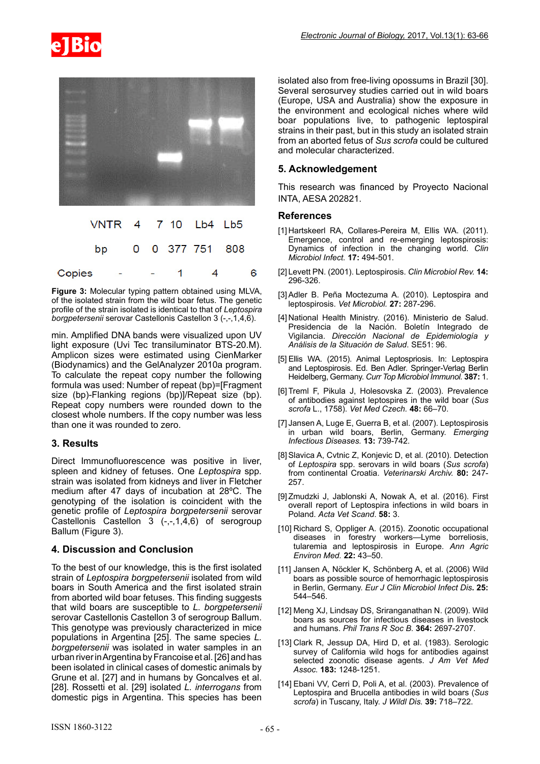



|        | VNTR 4 7 10 Lb4 Lb5               |                |                |   |
|--------|-----------------------------------|----------------|----------------|---|
|        | bp 0 0 377 751 808                |                |                |   |
| Copies | <b>Contract Contract Contract</b> | $\blacksquare$ | $\overline{A}$ | 6 |

**Figure 3:** Molecular typing pattern obtained using MLVA, of the isolated strain from the wild boar fetus. The genetic profile of the strain isolated is identical to that of *Leptospira borgpetersenii* serovar Castellonis Castellon 3 (-,-,1,4,6).

min. Amplified DNA bands were visualized upon UV light exposure (Uvi Tec transiluminator BTS-20.M). Amplicon sizes were estimated using CienMarker (Biodynamics) and the GelAnalyzer 2010a program. To calculate the repeat copy number the following formula was used: Number of repeat (bp)=[Fragment size (bp)-Flanking regions (bp)]/Repeat size (bp). Repeat copy numbers were rounded down to the closest whole numbers. If the copy number was less than one it was rounded to zero.

# **3. Results**

Direct Immunofluorescence was positive in liver, spleen and kidney of fetuses. One *Leptospira* spp*.*  strain was isolated from kidneys and liver in Fletcher medium after 47 days of incubation at 28ºC. The genotyping of the isolation is coincident with the genetic profile of *Leptospira borgpetersenii* serovar Castellonis Castellon 3 (-,-,1,4,6) of serogroup Ballum (Figure 3).

# **4. Discussion and Conclusion**

To the best of our knowledge, this is the first isolated strain of *Leptospira borgpetersenii* isolated from wild boars in South America and the first isolated strain from aborted wild boar fetuses. This finding suggests that wild boars are susceptible to *L. borgpetersenii* serovar Castellonis Castellon 3 of serogroup Ballum. This genotype was previously characterized in mice populations in Argentina [25]. The same species *L. borgpetersenii* was isolated in water samples in an urban river in Argentina by Francoise et al. [26] and has been isolated in clinical cases of domestic animals by Grune et al. [27] and in humans by Goncalves et al. [28]. Rossetti et al. [29] isolated *L. interrogans* from domestic pigs in Argentina. This species has been

isolated also from free-living opossums in Brazil [30]. Several serosurvey studies carried out in wild boars (Europe, USA and Australia) show the exposure in the environment and ecological niches where wild boar populations live, to pathogenic leptospiral strains in their past, but in this study an isolated strain from an aborted fetus of *Sus scrofa* could be cultured and molecular characterized.

# **5. Acknowledgement**

This research was financed by Proyecto Nacional INTA, AESA 202821.

#### **References**

- [1] Hartskeerl RA, Collares-Pereira M, Ellis WA. (2011). Emergence, control and re-emerging leptospirosis: Dynamics of infection in the changing world. *Clin Microbiol Infect.* **17:** 494-501.
- [2] Levett PN. (2001). Leptospirosis. *Clin Microbiol Rev.* **14:** 296-326.
- [3]Adler B. Peña Moctezuma A. (2010). Leptospira and leptospirosis. *Vet Microbiol.* **27:** 287-296.
- [4] National Health Ministry. (2016). Ministerio de Salud. Presidencia de la Nación. Boletín Integrado de Vigilancia. *Dirección Nacional de Epidemiología y Análisis de la Situación de Salud*. SE51: 96.
- [5] Ellis WA. (2015). Animal Leptospriosis. In: Leptospira and Leptospirosis. Ed. Ben Adler. Springer-Verlag Berlin Heidelberg, Germany. *Curr Top Microbiol Immunol.* **387:** 1.
- [6]Treml F, Pikula J, Holesovska Z. (2003). Prevalence of antibodies against leptospires in the wild boar (*Sus scrofa* L., 1758). *Vet Med Czech.* **48:** 66–70.
- [7] Jansen A, Luge E, Guerra B, et al. (2007). Leptospirosis in urban wild boars, Berlin, Germany. *Emerging Infectious Diseases.* **13:** 739-742.
- [8] Slavica A, Cvtnic Z, Konjevic D, et al. (2010). Detection of *Leptospira* spp. serovars in wild boars (*Sus scrofa*) from continental Croatia. *Veterinarski Archiv.* **80:** 247- 257.
- [9]Zmudzki J, Jablonski A, Nowak A, et al. (2016). First overall report of Leptospira infections in wild boars in Poland. *Acta Vet Scand*. **58:** 3.
- [10] Richard S, Oppliger A. (2015). Zoonotic occupational diseases in forestry workers—Lyme borreliosis, tularemia and leptospirosis in Europe. *Ann Agric Environ Med.* **22:** 43–50.
- [11] Jansen A, Nöckler K, Schönberg A, et al. (2006) Wild boars as possible source of hemorrhagic leptospirosis in Berlin, Germany. *Eur J Clin Microbiol Infect Dis***. 25:** 544–546.
- [12] Meng XJ, Lindsay DS, Sriranganathan N. (2009). Wild boars as sources for infectious diseases in livestock and humans. *Phil Trans R Soc B.* **364:** 2697-2707.
- [13] Clark R, Jessup DA, Hird D, et al. (1983). Serologic survey of California wild hogs for antibodies against selected zoonotic disease agents. *J Am Vet Med Assoc.* **183:** 1248-1251.
- [14] Ebani VV, Cerri D, Poli A, et al. (2003). Prevalence of Leptospira and Brucella antibodies in wild boars (*Sus scrofa*) in Tuscany, Italy. *J Wildl Dis.* **39:** 718–722.